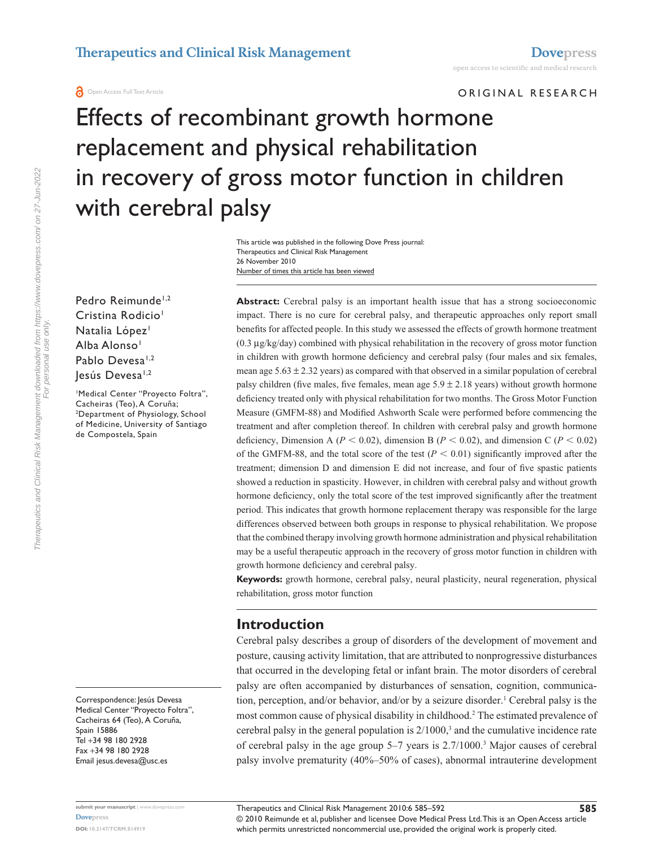ORIGINAL RESEARCH

# Effects of recombinant growth hormone replacement and physical rehabilitation in recovery of gross motor function in children with cerebral palsy

Number of times this article has been viewed This article was published in the following Dove Press journal: Therapeutics and Clinical Risk Management 26 November 2010

Pedro Reimunde<sup>1,2</sup> Cristina Rodicio<sup>1</sup> Natalia López<sup>1</sup> Alba Alonso<sup>1</sup> Pablo Devesa<sup>1,2</sup> lesús Devesa<sup>1,2</sup>

1 Medical Center "Proyecto Foltra", Cacheiras (Teo), A Coruña; 2 Department of Physiology, School of Medicine, University of Santiago de Compostela, Spain

Correspondence: Jesús Devesa Medical Center "Proyecto Foltra", Cacheiras 64 (Teo), A Coruña, Spain 15886 Tel +34 98 180 2928 Fax +34 98 180 2928 Email [jesus.devesa@usc.es](mailto:jesus.devesa@usc.es)

**Abstract:** Cerebral palsy is an important health issue that has a strong socioeconomic impact. There is no cure for cerebral palsy, and therapeutic approaches only report small benefits for affected people. In this study we assessed the effects of growth hormone treatment (0.3 µg/kg/day) combined with physical rehabilitation in the recovery of gross motor function in children with growth hormone deficiency and cerebral palsy (four males and six females, mean age  $5.63 \pm 2.32$  years) as compared with that observed in a similar population of cerebral palsy children (five males, five females, mean age  $5.9 \pm 2.18$  years) without growth hormone deficiency treated only with physical rehabilitation for two months. The Gross Motor Function Measure (GMFM-88) and Modified Ashworth Scale were performed before commencing the treatment and after completion thereof. In children with cerebral palsy and growth hormone deficiency, Dimension A ( $P < 0.02$ ), dimension B ( $P < 0.02$ ), and dimension C ( $P < 0.02$ ) of the GMFM-88, and the total score of the test ( $P < 0.01$ ) significantly improved after the treatment; dimension D and dimension E did not increase, and four of five spastic patients showed a reduction in spasticity. However, in children with cerebral palsy and without growth hormone deficiency, only the total score of the test improved significantly after the treatment period. This indicates that growth hormone replacement therapy was responsible for the large differences observed between both groups in response to physical rehabilitation. We propose that the combined therapy involving growth hormone administration and physical rehabilitation may be a useful therapeutic approach in the recovery of gross motor function in children with growth hormone deficiency and cerebral palsy.

**Keywords:** growth hormone, cerebral palsy, neural plasticity, neural regeneration, physical rehabilitation, gross motor function

# **Introduction**

Cerebral palsy describes a group of disorders of the development of movement and posture, causing activity limitation, that are attributed to nonprogressive disturbances that occurred in the developing fetal or infant brain. The motor disorders of cerebral palsy are often accompanied by disturbances of sensation, cognition, communication, perception, and/or behavior, and/or by a seizure disorder.<sup>1</sup> Cerebral palsy is the most common cause of physical disability in childhood.<sup>2</sup> The estimated prevalence of cerebral palsy in the general population is  $2/1000$ ,<sup>3</sup> and the cumulative incidence rate of cerebral palsy in the age group 5–7 years is 2.7/1000.3 Major causes of cerebral palsy involve prematurity (40%–50% of cases), abnormal intrauterine development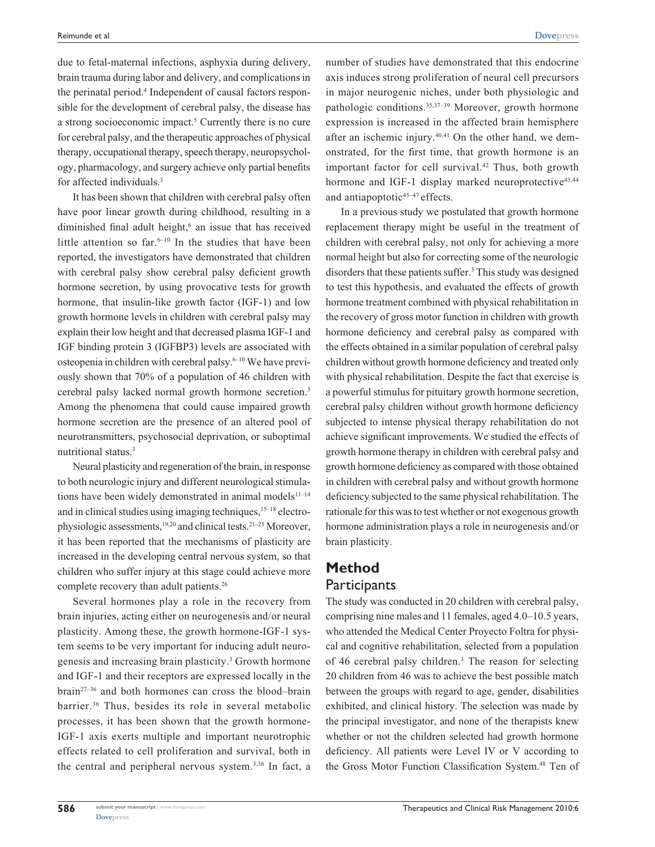due to fetal-maternal infections, asphyxia during delivery, brain trauma during labor and delivery, and complications in the perinatal period.<sup>4</sup> Independent of causal factors responsible for the development of cerebral palsy, the disease has a strong socioeconomic impact.<sup>5</sup> Currently there is no cure for cerebral palsy, and the therapeutic approaches of physical therapy, occupational therapy, speech therapy, neuropsychology, pharmacology, and surgery achieve only partial benefits for affected individuals.3

It has been shown that children with cerebral palsy often have poor linear growth during childhood, resulting in a diminished final adult height,<sup>6</sup> an issue that has received little attention so far. $6-10$  In the studies that have been reported, the investigators have demonstrated that children with cerebral palsy show cerebral palsy deficient growth hormone secretion, by using provocative tests for growth hormone, that insulin-like growth factor (IGF-1) and low growth hormone levels in children with cerebral palsy may explain their low height and that decreased plasma IGF-1 and IGF binding protein 3 (IGFBP3) levels are associated with osteopenia in children with cerebral palsy.<sup>6-10</sup> We have previously shown that 70% of a population of 46 children with cerebral palsy lacked normal growth hormone secretion.3 Among the phenomena that could cause impaired growth hormone secretion are the presence of an altered pool of neurotransmitters, psychosocial deprivation, or suboptimal nutritional status.3

Neural plasticity and regeneration of the brain, in response to both neurologic injury and different neurological stimulations have been widely demonstrated in animal models $11-14$ and in clinical studies using imaging techniques,<sup>15–18</sup> electrophysiologic assessments,19,20 and clinical tests.21–25 Moreover, it has been reported that the mechanisms of plasticity are increased in the developing central nervous system, so that children who suffer injury at this stage could achieve more complete recovery than adult patients.<sup>26</sup>

Several hormones play a role in the recovery from brain injuries, acting either on neurogenesis and/or neural plasticity. Among these, the growth hormone-IGF-1 system seems to be very important for inducing adult neurogenesis and increasing brain plasticity.<sup>3</sup> Growth hormone and IGF-1 and their receptors are expressed locally in the brain27–36 and both hormones can cross the blood–brain barrier.36 Thus, besides its role in several metabolic processes, it has been shown that the growth hormone-IGF-1 axis exerts multiple and important neurotrophic effects related to cell proliferation and survival, both in the central and peripheral nervous system.3,36 In fact, a

number of studies have demonstrated that this endocrine axis induces strong proliferation of neural cell precursors in major neurogenic niches, under both physiologic and pathologic conditions.35,37–39 Moreover, growth hormone expression is increased in the affected brain hemisphere after an ischemic injury. $40,41$  On the other hand, we demonstrated, for the first time, that growth hormone is an important factor for cell survival.<sup>42</sup> Thus, both growth hormone and IGF-1 display marked neuroprotective<sup>43,44</sup> and antiapoptotic $45-47$  effects.

In a previous study we postulated that growth hormone replacement therapy might be useful in the treatment of children with cerebral palsy, not only for achieving a more normal height but also for correcting some of the neurologic disorders that these patients suffer.<sup>3</sup> This study was designed to test this hypothesis, and evaluated the effects of growth hormone treatment combined with physical rehabilitation in the recovery of gross motor function in children with growth hormone deficiency and cerebral palsy as compared with the effects obtained in a similar population of cerebral palsy children without growth hormone deficiency and treated only with physical rehabilitation. Despite the fact that exercise is a powerful stimulus for pituitary growth hormone secretion, cerebral palsy children without growth hormone deficiency subjected to intense physical therapy rehabilitation do not achieve significant improvements. We studied the effects of growth hormone therapy in children with cerebral palsy and growth hormone deficiency as compared with those obtained in children with cerebral palsy and without growth hormone deficiency subjected to the same physical rehabilitation. The rationale for this was to test whether or not exogenous growth hormone administration plays a role in neurogenesis and/or brain plasticity.

# **Method Participants**

The study was conducted in 20 children with cerebral palsy, comprising nine males and 11 females, aged 4.0–10.5 years, who attended the Medical Center Proyecto Foltra for physical and cognitive rehabilitation, selected from a population of 46 cerebral palsy children.<sup>3</sup> The reason for selecting 20 children from 46 was to achieve the best possible match between the groups with regard to age, gender, disabilities exhibited, and clinical history. The selection was made by the principal investigator, and none of the therapists knew whether or not the children selected had growth hormone deficiency. All patients were Level IV or V according to the Gross Motor Function Classification System.<sup>48</sup> Ten of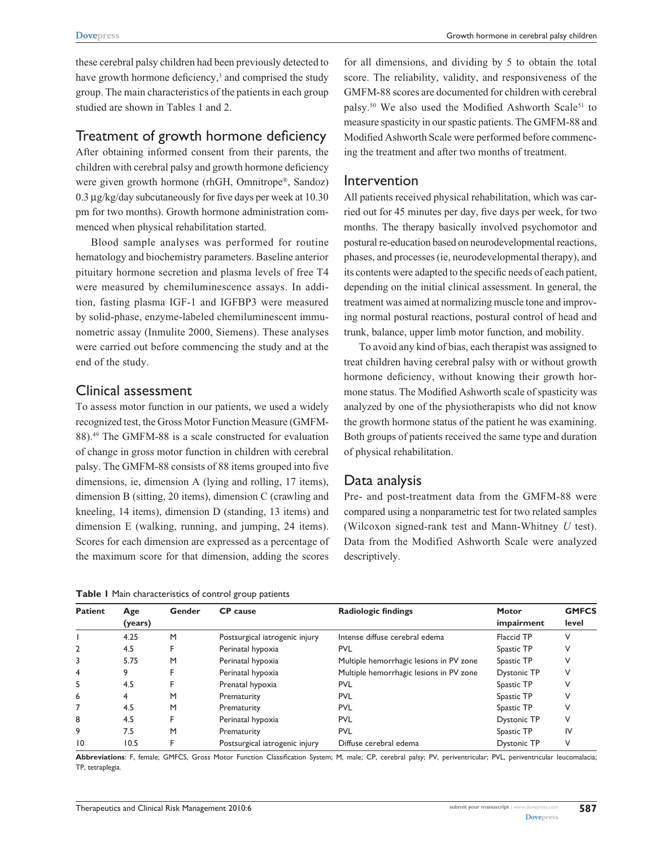Growth hormone in cerebral palsy children

these cerebral palsy children had been previously detected to have growth hormone deficiency,<sup>3</sup> and comprised the study group. The main characteristics of the patients in each group studied are shown in Tables 1 and 2.

## Treatment of growth hormone deficiency

After obtaining informed consent from their parents, the children with cerebral palsy and growth hormone deficiency were given growth hormone (rhGH, Omnitrope®, Sandoz) 0.3 µg/kg/day subcutaneously for five days per week at 10.30 pm for two months). Growth hormone administration commenced when physical rehabilitation started.

Blood sample analyses was performed for routine hematology and biochemistry parameters. Baseline anterior pituitary hormone secretion and plasma levels of free T4 were measured by chemiluminescence assays. In addition, fasting plasma IGF-1 and IGFBP3 were measured by solid-phase, enzyme-labeled chemiluminescent immunometric assay (Inmulite 2000, Siemens). These analyses were carried out before commencing the study and at the end of the study.

## Clinical assessment

To assess motor function in our patients, we used a widely recognized test, the Gross Motor Function Measure (GMFM-88).49 The GMFM-88 is a scale constructed for evaluation of change in gross motor function in children with cerebral palsy. The GMFM-88 consists of 88 items grouped into five dimensions, ie, dimension A (lying and rolling, 17 items), dimension B (sitting, 20 items), dimension C (crawling and kneeling, 14 items), dimension D (standing, 13 items) and dimension E (walking, running, and jumping, 24 items). Scores for each dimension are expressed as a percentage of the maximum score for that dimension, adding the scores

**Table 1** Main characteristics of control group patients

for all dimensions, and dividing by 5 to obtain the total score. The reliability, validity, and responsiveness of the GMFM-88 scores are documented for children with cerebral palsy.<sup>50</sup> We also used the Modified Ashworth Scale<sup>51</sup> to measure spasticity in our spastic patients. The GMFM-88 and Modified Ashworth Scale were performed before commencing the treatment and after two months of treatment.

#### Intervention

All patients received physical rehabilitation, which was carried out for 45 minutes per day, five days per week, for two months. The therapy basically involved psychomotor and postural re-education based on neurodevelopmental reactions, phases, and processes (ie, neurodevelopmental therapy), and its contents were adapted to the specific needs of each patient, depending on the initial clinical assessment. In general, the treatment was aimed at normalizing muscle tone and improving normal postural reactions, postural control of head and trunk, balance, upper limb motor function, and mobility.

To avoid any kind of bias, each therapist was assigned to treat children having cerebral palsy with or without growth hormone deficiency, without knowing their growth hormone status. The Modified Ashworth scale of spasticity was analyzed by one of the physiotherapists who did not know the growth hormone status of the patient he was examining. Both groups of patients received the same type and duration of physical rehabilitation.

# Data analysis

Pre- and post-treatment data from the GMFM-88 were compared using a nonparametric test for two related samples (Wilcoxon signed-rank test and Mann-Whitney *U* test). Data from the Modified Ashworth Scale were analyzed descriptively.

| <b>Patient</b>  | Age<br>(years) | Gender | <b>CP</b> cause                | <b>Radiologic findings</b>              | <b>Motor</b><br>impairment | <b>GMFCS</b><br>level |
|-----------------|----------------|--------|--------------------------------|-----------------------------------------|----------------------------|-----------------------|
|                 | 4.25           | M      | Postsurgical iatrogenic injury | Intense diffuse cerebral edema          | <b>Flaccid TP</b>          | ν                     |
| $\overline{2}$  | 4.5            |        | Perinatal hypoxia              | <b>PVL</b>                              | Spastic TP                 |                       |
| 3               | 5.75           | M      | Perinatal hypoxia              | Multiple hemorrhagic lesions in PV zone | Spastic TP                 |                       |
| 4               |                |        | Perinatal hypoxia              | Multiple hemorrhagic lesions in PV zone | <b>Dystonic TP</b>         |                       |
| 5               | 4.5            |        | Prenatal hypoxia               | <b>PVL</b>                              | Spastic TP                 |                       |
| 6               |                | М      | Prematurity                    | <b>PVL</b>                              | Spastic TP                 |                       |
|                 | 4.5            | M      | Prematurity                    | <b>PVL</b>                              | Spastic TP                 |                       |
| 8               | 4.5            |        | Perinatal hypoxia              | <b>PVL</b>                              | <b>Dystonic TP</b>         | ν                     |
| 9               | 7.5            | M      | Prematurity                    | <b>PVL</b>                              | Spastic TP                 | IV                    |
| $\overline{10}$ | 10.5           |        | Postsurgical iatrogenic injury | Diffuse cerebral edema                  | <b>Dystonic TP</b>         | v                     |

**Abbreviations**: F, female; GMFCS, Gross Motor Function Classification System; M, male; CP, cerebral palsy; PV, periventricular; PVL, periventricular leucomalacia; TP, tetraplegia.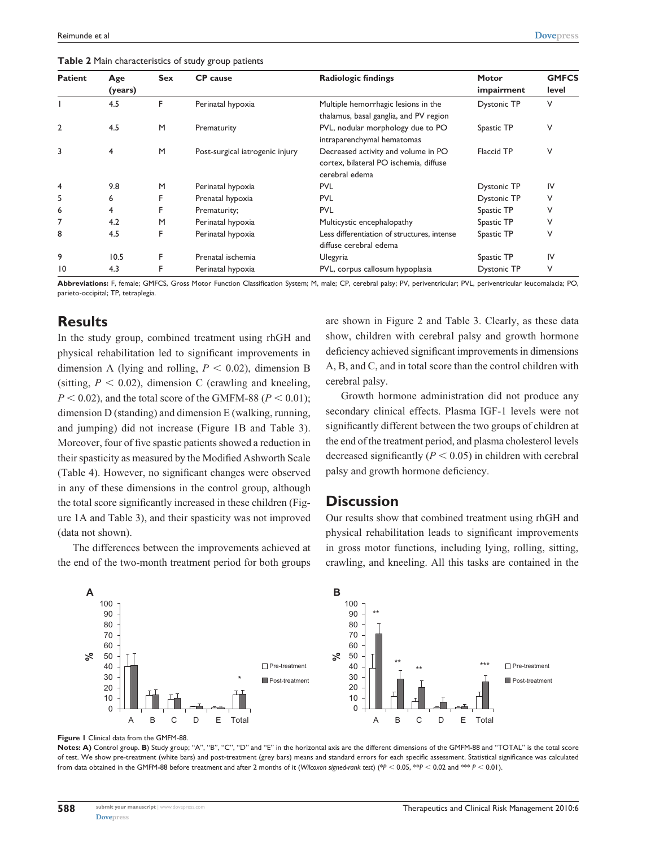| <b>Patient</b> | Age<br>(years) | <b>Sex</b> | <b>CP</b> cause                                                                | <b>Radiologic findings</b>                                                                      | <b>Motor</b><br>impairment | <b>GMFCS</b><br>level |
|----------------|----------------|------------|--------------------------------------------------------------------------------|-------------------------------------------------------------------------------------------------|----------------------------|-----------------------|
|                |                |            |                                                                                |                                                                                                 |                            |                       |
|                | 4.5            | F          | Perinatal hypoxia                                                              | Multiple hemorrhagic lesions in the<br>thalamus, basal ganglia, and PV region                   | <b>Dystonic TP</b>         | V                     |
| 2              | 4.5            | M          | PVL, nodular morphology due to PO<br>Prematurity<br>intraparenchymal hematomas |                                                                                                 | Spastic TP                 | ٧                     |
| 3              | 4              | M          | Post-surgical iatrogenic injury                                                | Decreased activity and volume in PO<br>cortex, bilateral PO ischemia, diffuse<br>cerebral edema | Flaccid TP                 | V                     |
| 4              | 9.8            | M          | Perinatal hypoxia                                                              | <b>PVL</b>                                                                                      | <b>Dystonic TP</b>         | IV                    |
| 5              | 6              | F          | Prenatal hypoxia                                                               | <b>PVL</b>                                                                                      | <b>Dystonic TP</b>         | V                     |
| 6              | 4              | F          | Prematurity;                                                                   | <b>PVL</b>                                                                                      | Spastic TP                 | ٧                     |
| 7              | 4.2            | M          | Perinatal hypoxia                                                              | Multicystic encephalopathy                                                                      | Spastic TP                 | V                     |
| 8              | 4.5            | F          | Perinatal hypoxia                                                              | Less differentiation of structures, intense<br>diffuse cerebral edema                           | Spastic TP                 | ٧                     |
| 9              | 10.5           | F          | Prenatal ischemia                                                              | Ulegyria                                                                                        | Spastic TP                 | IV                    |
| $ 0\rangle$    | 4.3            |            | Perinatal hypoxia                                                              | PVL, corpus callosum hypoplasia                                                                 | <b>Dystonic TP</b>         | ٧                     |

**Table 2** Main characteristics of study group patients

**Abbreviations:** F, female; GMFCS, Gross Motor Function Classification System; M, male; CP, cerebral palsy; PV, periventricular; PVL, periventricular leucomalacia; PO, parieto-occipital; TP, tetraplegia.

## **Results**

In the study group, combined treatment using rhGH and physical rehabilitation led to significant improvements in dimension A (lying and rolling,  $P < 0.02$ ), dimension B (sitting,  $P < 0.02$ ), dimension C (crawling and kneeling,  $P < 0.02$ ), and the total score of the GMFM-88 ( $P < 0.01$ ); dimension D (standing) and dimension E (walking, running, and jumping) did not increase (Figure 1B and Table 3). Moreover, four of five spastic patients showed a reduction in their spasticity as measured by the Modified Ashworth Scale (Table 4). However, no significant changes were observed in any of these dimensions in the control group, although the total score significantly increased in these children (Figure 1A and Table 3), and their spasticity was not improved (data not shown).

The differences between the improvements achieved at the end of the two-month treatment period for both groups are shown in Figure 2 and Table 3. Clearly, as these data show, children with cerebral palsy and growth hormone deficiency achieved significant improvements in dimensions A, B, and C, and in total score than the control children with cerebral palsy.

Growth hormone administration did not produce any secondary clinical effects. Plasma IGF-1 levels were not significantly different between the two groups of children at the end of the treatment period, and plasma cholesterol levels decreased significantly  $(P < 0.05)$  in children with cerebral palsy and growth hormone deficiency.

#### **Discussion**

Our results show that combined treatment using rhGH and physical rehabilitation leads to significant improvements in gross motor functions, including lying, rolling, sitting, crawling, and kneeling. All this tasks are contained in the



**Figure 1** Clinical data from the GMFM-88.

**Notes: A)** Control group. **B**) Study group; "A", "B", "C", "D" and "E" in the horizontal axis are the different dimensions of the GMFM-88 and "TOTAL" is the total score of test. We show pre-treatment (white bars) and post-treatment (grey bars) means and standard errors for each specific assessment. Statistical significance was calculated from data obtained in the GMFM-88 before treatment and after 2 months of it (*Wilcoxon signed-rank test*) (\**P* , 0.05, \*\**P* , 0.02 and \*\*\* *P* , 0.01).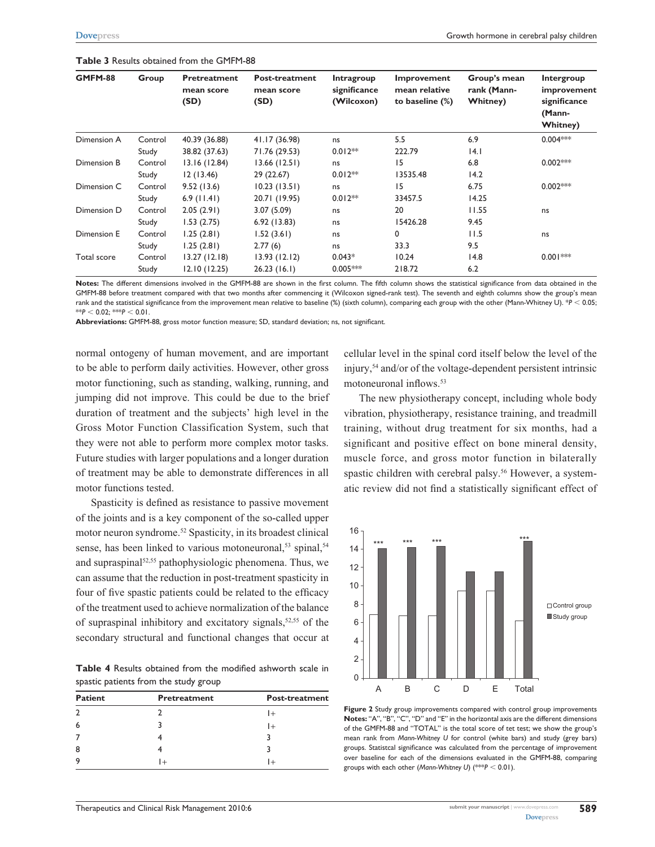| GMFM-88     | Group   | Pretreatment<br>mean score<br>(SD) | Post-treatment<br>mean score<br>(SD) | Intragroup<br>significance<br>(Wilcoxon) | Improvement<br>mean relative<br>to baseline (%) | Group's mean<br>rank (Mann-<br><b>Whitney</b> ) | Intergroup<br>improvement<br>significance<br>(Mann-<br><b>Whitney</b> ) |
|-------------|---------|------------------------------------|--------------------------------------|------------------------------------------|-------------------------------------------------|-------------------------------------------------|-------------------------------------------------------------------------|
| Dimension A | Control | 40.39 (36.88)                      | 41.17 (36.98)                        | ns                                       | 5.5                                             | 6.9                                             | $0.004***$                                                              |
|             | Study   | 38.82 (37.63)                      | 71.76 (29.53)                        | $0.012**$                                | 222.79                                          | 4.1                                             |                                                                         |
| Dimension B | Control | 13.16 (12.84)                      | 13.66(12.51)                         | ns                                       | 15                                              | 6.8                                             | $0.002***$                                                              |
|             | Study   | 12(13.46)                          | 29 (22.67)                           | $0.012**$                                | 13535.48                                        | 14.2                                            |                                                                         |
| Dimension C | Control | 9.52(13.6)                         | 10.23(13.51)                         | ns                                       | 15                                              | 6.75                                            | $0.002***$                                                              |
|             | Study   | $6.9$ (11.41)                      | 20.71 (19.95)                        | $0.012**$                                | 33457.5                                         | 14.25                                           |                                                                         |
| Dimension D | Control | 2.05(2.91)                         | 3.07(5.09)                           | ns                                       | 20                                              | 11.55                                           | ns                                                                      |
|             | Study   | 1.53(2.75)                         | 6.92(13.83)                          | ns                                       | 15426.28                                        | 9.45                                            |                                                                         |
| Dimension E | Control | 1.25(2.81)                         | 1.52(3.61)                           | ns                                       | 0                                               | 11.5                                            | ns                                                                      |
|             | Study   | 1.25(2.81)                         | 2.77(6)                              | ns                                       | 33.3                                            | 9.5                                             |                                                                         |
| Total score | Control | 13.27(12.18)                       | 13.93(12.12)                         | $0.043*$                                 | 10.24                                           | 14.8                                            | $0.001***$                                                              |
|             | Study   | 12.10 (12.25)                      | 26.23(16.1)                          | $0.005***$                               | 218.72                                          | 6.2                                             |                                                                         |

**Table 3** Results obtained from the GMFM-88

**Notes:** The different dimensions involved in the GMFM-88 are shown in the first column. The fifth column shows the statistical significance from data obtained in the GMFM-88 before treatment compared with that two months after commencing it (Wilcoxon signed-rank test). The seventh and eighth columns show the group's mean rank and the statistical significance from the improvement mean relative to baseline (%) (sixth column), comparing each group with the other (Mann-Whitney U). \**P* < 0.05;  $*$ *P*  $\leq$  0.02;  $*$ *\*P*  $\leq$  0.01

**Abbreviations:** GMFM-88, gross motor function measure; SD, standard deviation; ns, not significant.

normal ontogeny of human movement, and are important to be able to perform daily activities. However, other gross motor functioning, such as standing, walking, running, and jumping did not improve. This could be due to the brief duration of treatment and the subjects' high level in the Gross Motor Function Classification System, such that they were not able to perform more complex motor tasks. Future studies with larger populations and a longer duration of treatment may be able to demonstrate differences in all motor functions tested.

Spasticity is defined as resistance to passive movement of the joints and is a key component of the so-called upper motor neuron syndrome.52 Spasticity, in its broadest clinical sense, has been linked to various motoneuronal,<sup>53</sup> spinal,<sup>54</sup> and supraspinal<sup>52,55</sup> pathophysiologic phenomena. Thus, we can assume that the reduction in post-treatment spasticity in four of five spastic patients could be related to the efficacy of the treatment used to achieve normalization of the balance of supraspinal inhibitory and excitatory signals, $52,55$  of the secondary structural and functional changes that occur at

**Table 4** Results obtained from the modified ashworth scale in spastic patients from the study group

| <b>Patient</b> | <b>Pretreatment</b> | <b>Post-treatment</b> |
|----------------|---------------------|-----------------------|
| $\mathcal{D}$  |                     | $+$                   |
| 6              |                     |                       |
|                |                     |                       |
| 8              |                     |                       |
| 9              |                     |                       |

cellular level in the spinal cord itself below the level of the injury,54 and/or of the voltage-dependent persistent intrinsic motoneuronal inflows.<sup>53</sup>

The new physiotherapy concept, including whole body vibration, physiotherapy, resistance training, and treadmill training, without drug treatment for six months, had a significant and positive effect on bone mineral density, muscle force, and gross motor function in bilaterally spastic children with cerebral palsy.<sup>56</sup> However, a systematic review did not find a statistically significant effect of



**Figure 2** Study group improvements compared with control group improvements **Notes:** "A", "B", "C", "D" and "E" in the horizontal axis are the different dimensions of the GMFM-88 and "TOTAL" is the total score of tet test; we show the group's mean rank from *Mann-Whitney U* for control (white bars) and study (grey bars) groups. Statistcal significance was calculated from the percentage of improvement over baseline for each of the dimensions evaluated in the GMFM-88, comparing groups with each other (*Mann-Whitney U*) (\*\*\**P* , 0.01).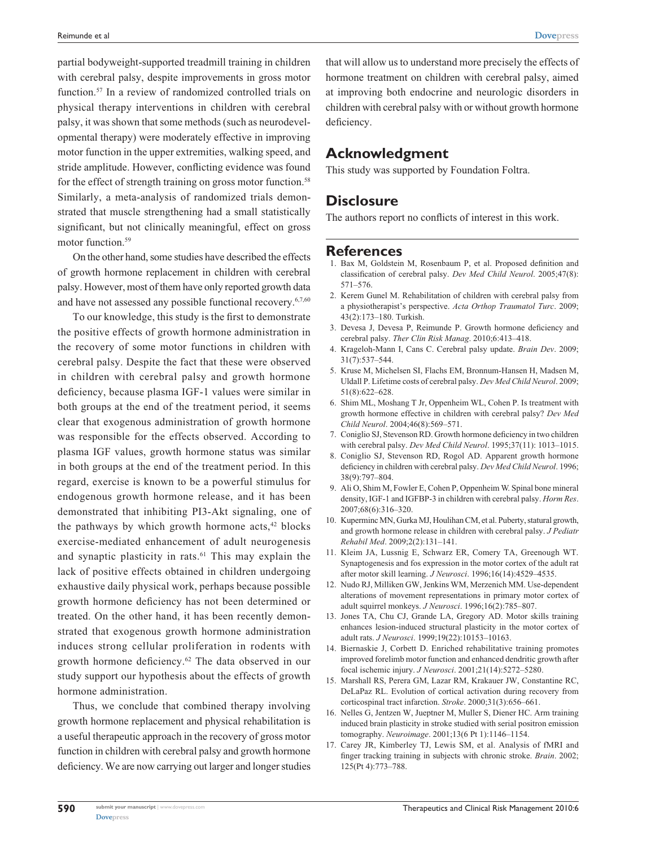partial bodyweight-supported treadmill training in children with cerebral palsy, despite improvements in gross motor function.57 In a review of randomized controlled trials on physical therapy interventions in children with cerebral palsy, it was shown that some methods (such as neurodevelopmental therapy) were moderately effective in improving motor function in the upper extremities, walking speed, and stride amplitude. However, conflicting evidence was found for the effect of strength training on gross motor function.<sup>58</sup> Similarly, a meta-analysis of randomized trials demonstrated that muscle strengthening had a small statistically significant, but not clinically meaningful, effect on gross motor function.<sup>59</sup>

On the other hand, some studies have described the effects of growth hormone replacement in children with cerebral palsy. However, most of them have only reported growth data and have not assessed any possible functional recovery.<sup>6,7,60</sup>

To our knowledge, this study is the first to demonstrate the positive effects of growth hormone administration in the recovery of some motor functions in children with cerebral palsy. Despite the fact that these were observed in children with cerebral palsy and growth hormone deficiency, because plasma IGF-1 values were similar in both groups at the end of the treatment period, it seems clear that exogenous administration of growth hormone was responsible for the effects observed. According to plasma IGF values, growth hormone status was similar in both groups at the end of the treatment period. In this regard, exercise is known to be a powerful stimulus for endogenous growth hormone release, and it has been demonstrated that inhibiting PI3-Akt signaling, one of the pathways by which growth hormone  $acts, <sup>42</sup> blocks$ exercise-mediated enhancement of adult neurogenesis and synaptic plasticity in rats.<sup>61</sup> This may explain the lack of positive effects obtained in children undergoing exhaustive daily physical work, perhaps because possible growth hormone deficiency has not been determined or treated. On the other hand, it has been recently demonstrated that exogenous growth hormone administration induces strong cellular proliferation in rodents with growth hormone deficiency.62 The data observed in our study support our hypothesis about the effects of growth hormone administration.

Thus, we conclude that combined therapy involving growth hormone replacement and physical rehabilitation is a useful therapeutic approach in the recovery of gross motor function in children with cerebral palsy and growth hormone deficiency. We are now carrying out larger and longer studies

that will allow us to understand more precisely the effects of hormone treatment on children with cerebral palsy, aimed at improving both endocrine and neurologic disorders in children with cerebral palsy with or without growth hormone deficiency.

## **Acknowledgment**

This study was supported by Foundation Foltra.

## **Disclosure**

The authors report no conflicts of interest in this work.

#### **References**

- 1. Bax M, Goldstein M, Rosenbaum P, et al. Proposed definition and classification of cerebral palsy. *Dev Med Child Neurol*. 2005;47(8): 571–576.
- 2. Kerem Gunel M. Rehabilitation of children with cerebral palsy from a physiotherapist's perspective. *Acta Orthop Traumatol Turc*. 2009; 43(2):173–180. Turkish.
- 3. Devesa J, Devesa P, Reimunde P. Growth hormone deficiency and cerebral palsy. *Ther Clin Risk Manag*. 2010;6:413–418.
- 4. Krageloh-Mann I, Cans C. Cerebral palsy update. *Brain Dev*. 2009; 31(7):537–544.
- 5. Kruse M, Michelsen SI, Flachs EM, Bronnum-Hansen H, Madsen M, Uldall P. Lifetime costs of cerebral palsy. *Dev Med Child Neurol*. 2009; 51(8):622–628.
- 6. Shim ML, Moshang T Jr, Oppenheim WL, Cohen P. Is treatment with growth hormone effective in children with cerebral palsy? *Dev Med Child Neurol*. 2004;46(8):569–571.
- 7. Coniglio SJ, Stevenson RD. Growth hormone deficiency in two children with cerebral palsy. *Dev Med Child Neurol*. 1995;37(11): 1013–1015.
- 8. Coniglio SJ, Stevenson RD, Rogol AD. Apparent growth hormone deficiency in children with cerebral palsy. *Dev Med Child Neurol*. 1996; 38(9):797–804.
- 9. Ali O, Shim M, Fowler E, Cohen P, Oppenheim W. Spinal bone mineral density, IGF-1 and IGFBP-3 in children with cerebral palsy. *Horm Res*. 2007;68(6):316–320.
- 10. Kuperminc MN, Gurka MJ, Houlihan CM, et al. Puberty, statural growth, and growth hormone release in children with cerebral palsy. *J Pediatr Rehabil Med*. 2009;2(2):131–141.
- 11. Kleim JA, Lussnig E, Schwarz ER, Comery TA, Greenough WT. Synaptogenesis and fos expression in the motor cortex of the adult rat after motor skill learning. *J Neurosci*. 1996;16(14):4529–4535.
- 12. Nudo RJ, Milliken GW, Jenkins WM, Merzenich MM. Use-dependent alterations of movement representations in primary motor cortex of adult squirrel monkeys. *J Neurosci*. 1996;16(2):785–807.
- 13. Jones TA, Chu CJ, Grande LA, Gregory AD. Motor skills training enhances lesion-induced structural plasticity in the motor cortex of adult rats. *J Neurosci*. 1999;19(22):10153–10163.
- 14. Biernaskie J, Corbett D. Enriched rehabilitative training promotes improved forelimb motor function and enhanced dendritic growth after focal ischemic injury. *J Neurosci*. 2001;21(14):5272–5280.
- 15. Marshall RS, Perera GM, Lazar RM, Krakauer JW, Constantine RC, DeLaPaz RL. Evolution of cortical activation during recovery from corticospinal tract infarction. *Stroke*. 2000;31(3):656–661.
- 16. Nelles G, Jentzen W, Jueptner M, Muller S, Diener HC. Arm training induced brain plasticity in stroke studied with serial positron emission tomography. *Neuroimage*. 2001;13(6 Pt 1):1146–1154.
- 17. Carey JR, Kimberley TJ, Lewis SM, et al. Analysis of fMRI and finger tracking training in subjects with chronic stroke. *Brain*. 2002; 125(Pt 4):773–788.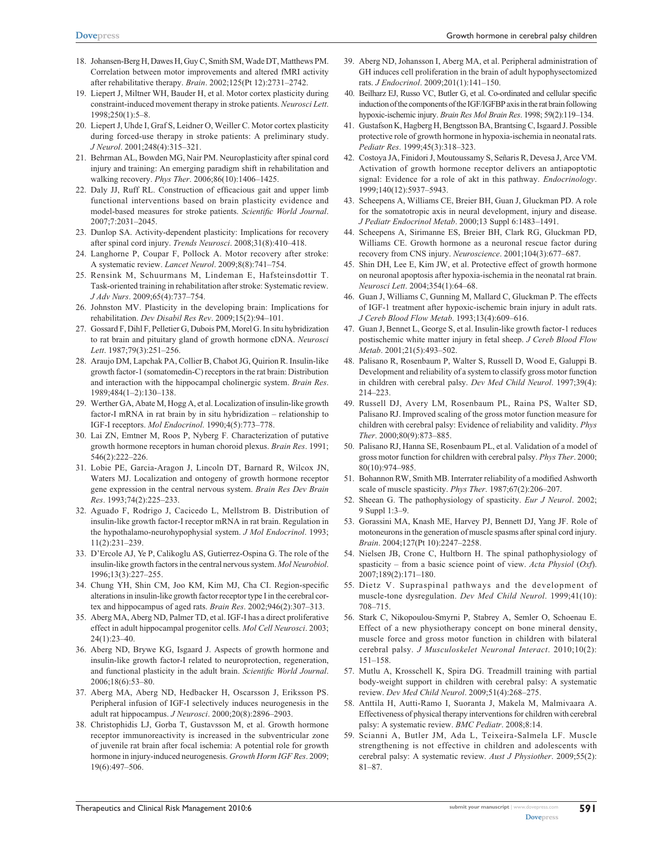- 18. Johansen-Berg H, Dawes H, Guy C, Smith SM, Wade DT, Matthews PM. Correlation between motor improvements and altered fMRI activity after rehabilitative therapy. *Brain*. 2002;125(Pt 12):2731–2742.
- 19. Liepert J, Miltner WH, Bauder H, et al. Motor cortex plasticity during constraint-induced movement therapy in stroke patients. *Neurosci Lett*. 1998;250(1):5–8.
- 20. Liepert J, Uhde I, Graf S, Leidner O, Weiller C. Motor cortex plasticity during forced-use therapy in stroke patients: A preliminary study. *J Neurol*. 2001;248(4):315–321.
- 21. Behrman AL, Bowden MG, Nair PM. Neuroplasticity after spinal cord injury and training: An emerging paradigm shift in rehabilitation and walking recovery. *Phys Ther*. 2006;86(10):1406–1425.
- 22. Daly JJ, Ruff RL. Construction of efficacious gait and upper limb functional interventions based on brain plasticity evidence and model-based measures for stroke patients. *Scientific World Journal*. 2007;7:2031–2045.
- 23. Dunlop SA. Activity-dependent plasticity: Implications for recovery after spinal cord injury. *Trends Neurosci*. 2008;31(8):410–418.
- 24. Langhorne P, Coupar F, Pollock A. Motor recovery after stroke: A systematic review. *Lancet Neurol*. 2009;8(8):741–754.
- 25. Rensink M, Schuurmans M, Lindeman E, Hafsteinsdottir T. Task-oriented training in rehabilitation after stroke: Systematic review. *J Adv Nurs*. 2009;65(4):737–754.
- 26. Johnston MV. Plasticity in the developing brain: Implications for rehabilitation. *Dev Disabil Res Rev*. 2009;15(2):94–101.
- 27. Gossard F, Dihl F, Pelletier G, Dubois PM, Morel G. In situ hybridization to rat brain and pituitary gland of growth hormone cDNA. *Neurosci Lett*. 1987;79(3):251–256.
- 28. Araujo DM, Lapchak PA, Collier B, Chabot JG, Quirion R. Insulin-like growth factor-1 (somatomedin-C) receptors in the rat brain: Distribution and interaction with the hippocampal cholinergic system. *Brain Res*. 1989;484(1–2):130–138.
- 29. Werther GA, Abate M, Hogg A, et al. Localization of insulin-like growth factor-I mRNA in rat brain by in situ hybridization – relationship to IGF-I receptors. *Mol Endocrinol*. 1990;4(5):773–778.
- 30. Lai ZN, Emtner M, Roos P, Nyberg F. Characterization of putative growth hormone receptors in human choroid plexus. *Brain Res*. 1991; 546(2):222–226.
- 31. Lobie PE, Garcia-Aragon J, Lincoln DT, Barnard R, Wilcox JN, Waters MJ. Localization and ontogeny of growth hormone receptor gene expression in the central nervous system. *Brain Res Dev Brain Res*. 1993;74(2):225–233.
- 32. Aguado F, Rodrigo J, Cacicedo L, Mellstrom B. Distribution of insulin-like growth factor-I receptor mRNA in rat brain. Regulation in the hypothalamo-neurohypophysial system. *J Mol Endocrinol*. 1993; 11(2):231–239.
- 33. D'Ercole AJ, Ye P, Calikoglu AS, Gutierrez-Ospina G. The role of the insulin-like growth factors in the central nervous system. *Mol Neurobiol*. 1996;13(3):227–255.
- 34. Chung YH, Shin CM, Joo KM, Kim MJ, Cha CI. Region-specific alterations in insulin-like growth factor receptor type I in the cerebral cortex and hippocampus of aged rats. *Brain Res*. 2002;946(2):307–313.
- 35. Aberg MA, Aberg ND, Palmer TD, et al. IGF-I has a direct proliferative effect in adult hippocampal progenitor cells. *Mol Cell Neurosci*. 2003;  $24(1) \cdot 23 - 40$
- 36. Aberg ND, Brywe KG, Isgaard J. Aspects of growth hormone and insulin-like growth factor-I related to neuroprotection, regeneration, and functional plasticity in the adult brain. *Scientific World Journal*. 2006;18(6):53–80.
- 37. Aberg MA, Aberg ND, Hedbacker H, Oscarsson J, Eriksson PS. Peripheral infusion of IGF-I selectively induces neurogenesis in the adult rat hippocampus. *J Neurosci*. 2000;20(8):2896–2903.
- 38. Christophidis LJ, Gorba T, Gustavsson M, et al. Growth hormone receptor immunoreactivity is increased in the subventricular zone of juvenile rat brain after focal ischemia: A potential role for growth hormone in injury-induced neurogenesis. *Growth Horm IGF Res*. 2009; 19(6):497–506.
- 39. Aberg ND, Johansson I, Aberg MA, et al. Peripheral administration of GH induces cell proliferation in the brain of adult hypophysectomized rats. *J Endocrinol*. 2009;201(1):141–150.
- 40. Beilharz EJ, Russo VC, Butler G, et al. Co-ordinated and cellular specific induction of the components of the IGF/IGFBP axis in the rat brain following hypoxic-ischemic injury. *Brain Res Mol Brain Res*. 1998; 59(2):119–134.
- 41. Gustafson K, Hagberg H, Bengtsson BA, Brantsing C, Isgaard J. Possible protective role of growth hormone in hypoxia-ischemia in neonatal rats. *Pediatr Res*. 1999;45(3):318–323.
- 42. Costoya JA, Finidori J, Moutoussamy S, Señaris R, Devesa J, Arce VM. Activation of growth hormone receptor delivers an antiapoptotic signal: Evidence for a role of akt in this pathway. *Endocrinology*. 1999;140(12):5937–5943.
- 43. Scheepens A, Williams CE, Breier BH, Guan J, Gluckman PD. A role for the somatotropic axis in neural development, injury and disease. *J Pediatr Endocrinol Metab*. 2000;13 Suppl 6:1483–1491.
- 44. Scheepens A, Sirimanne ES, Breier BH, Clark RG, Gluckman PD, Williams CE. Growth hormone as a neuronal rescue factor during recovery from CNS injury. *Neuroscience*. 2001;104(3):677–687.
- 45. Shin DH, Lee E, Kim JW, et al. Protective effect of growth hormone on neuronal apoptosis after hypoxia-ischemia in the neonatal rat brain. *Neurosci Lett*. 2004;354(1):64–68.
- 46. Guan J, Williams C, Gunning M, Mallard C, Gluckman P. The effects of IGF-1 treatment after hypoxic-ischemic brain injury in adult rats. *J Cereb Blood Flow Metab*. 1993;13(4):609–616.
- 47. Guan J, Bennet L, George S, et al. Insulin-like growth factor-1 reduces postischemic white matter injury in fetal sheep. *J Cereb Blood Flow Metab*. 2001;21(5):493–502.
- 48. Palisano R, Rosenbaum P, Walter S, Russell D, Wood E, Galuppi B. Development and reliability of a system to classify gross motor function in children with cerebral palsy. *Dev Med Child Neurol*. 1997;39(4): 214–223.
- 49. Russell DJ, Avery LM, Rosenbaum PL, Raina PS, Walter SD, Palisano RJ. Improved scaling of the gross motor function measure for children with cerebral palsy: Evidence of reliability and validity. *Phys Ther*. 2000;80(9):873–885.
- 50. Palisano RJ, Hanna SE, Rosenbaum PL, et al. Validation of a model of gross motor function for children with cerebral palsy. *Phys Ther*. 2000; 80(10):974–985.
- 51. Bohannon RW, Smith MB. Interrater reliability of a modified Ashworth scale of muscle spasticity. *Phys Ther*. 1987;67(2):206–207.
- 52. Sheean G. The pathophysiology of spasticity. *Eur J Neurol*. 2002; 9 Suppl 1:3–9.
- 53. Gorassini MA, Knash ME, Harvey PJ, Bennett DJ, Yang JF. Role of motoneurons in the generation of muscle spasms after spinal cord injury. *Brain*. 2004;127(Pt 10):2247–2258.
- 54. Nielsen JB, Crone C, Hultborn H. The spinal pathophysiology of spasticity – from a basic science point of view. *Acta Physiol* (*Oxf*). 2007;189(2):171–180.
- 55. Dietz V. Supraspinal pathways and the development of muscle-tone dysregulation. *Dev Med Child Neurol*. 1999;41(10): 708–715.
- 56. Stark C, Nikopoulou-Smyrni P, Stabrey A, Semler O, Schoenau E. Effect of a new physiotherapy concept on bone mineral density, muscle force and gross motor function in children with bilateral cerebral palsy. *J Musculoskelet Neuronal Interact*. 2010;10(2): 151–158.
- 57. Mutlu A, Krosschell K, Spira DG. Treadmill training with partial body-weight support in children with cerebral palsy: A systematic review. *Dev Med Child Neurol*. 2009;51(4):268–275.
- 58. Anttila H, Autti-Ramo I, Suoranta J, Makela M, Malmivaara A. Effectiveness of physical therapy interventions for children with cerebral palsy: A systematic review. *BMC Pediatr*. 2008;8:14.
- 59. Scianni A, Butler JM, Ada L, Teixeira-Salmela LF. Muscle strengthening is not effective in children and adolescents with cerebral palsy: A systematic review. *Aust J Physiother*. 2009;55(2): 81–87.